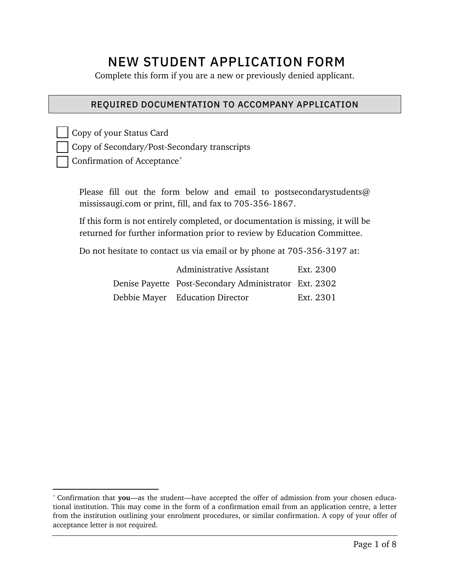# NEW STUDENT APPLICATION FORM

Complete this form if you are a new or previously denied applicant.

#### REQUIRED DOCUMENTATION TO ACCOMPANY APPLICATION

Copy of your Status Card Copy of Secondary/Post-Secondary transcripts Confirmation of Acceptance[\\*](#page-0-0)

Please fill out the form below and email to postsecondarystudents@ mississaugi.com or print, fill, and fax to 705-356-1867.

If this form is not entirely completed, or documentation is missing, it will be returned for further information prior to review by Education Committee.

Do not hesitate to contact us via email or by phone at 705-356-3197 at:

| Administrative Assistant                              | Ext. 2300 |
|-------------------------------------------------------|-----------|
| Denise Payette Post-Secondary Administrator Ext. 2302 |           |
| Debbie Mayer Education Director                       | Ext. 2301 |

<span id="page-0-0"></span><sup>\*</sup> Confirmation that **you**—as the student—have accepted the offer of admission from your chosen educational institution. This may come in the form of a confirmation email from an application centre, a letter from the institution outlining your enrolment procedures, or similar confirmation. A copy of your offer of acceptance letter is not required.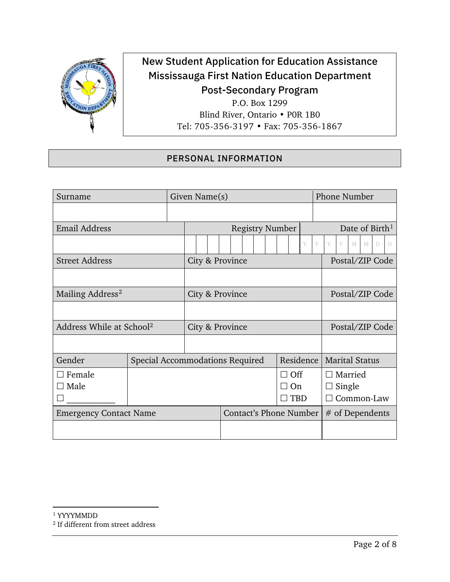

# New Student Application for Education Assistance Mississauga First Nation Education Department Post-Secondary Program P.O. Box 1299

Blind River, Ontario • P0R 1B0 Tel: 705-356-3197 • Fax: 705-356-1867

## <span id="page-1-0"></span>PERSONAL INFORMATION

<span id="page-1-1"></span>

| Surname                              |                                 | Given Name(s)   |                                 |                                    | <b>Phone Number</b>                           |  |  |
|--------------------------------------|---------------------------------|-----------------|---------------------------------|------------------------------------|-----------------------------------------------|--|--|
|                                      |                                 |                 |                                 |                                    |                                               |  |  |
| <b>Email Address</b>                 |                                 |                 | <b>Registry Number</b>          | Date of Birth <sup>1</sup>         |                                               |  |  |
|                                      |                                 |                 |                                 | Y                                  | Y<br>Y<br>Y<br>M<br>M<br>$\Box$<br>$\Box$     |  |  |
| <b>Street Address</b>                |                                 | City & Province |                                 | Postal/ZIP Code                    |                                               |  |  |
|                                      |                                 |                 |                                 |                                    |                                               |  |  |
| Mailing Address <sup>2</sup>         |                                 | City & Province |                                 | Postal/ZIP Code                    |                                               |  |  |
|                                      |                                 |                 |                                 |                                    |                                               |  |  |
| Address While at School <sup>2</sup> |                                 | City & Province |                                 | Postal/ZIP Code                    |                                               |  |  |
|                                      |                                 |                 |                                 |                                    |                                               |  |  |
| Gender                               | Special Accommodations Required |                 |                                 | <b>Marital Status</b><br>Residence |                                               |  |  |
| Female<br>Male                       |                                 |                 | $\Box$ Off<br>On.<br><b>TBD</b> |                                    | $\Box$ Married<br>$\Box$ Single<br>Common-Law |  |  |
| <b>Emergency Contact Name</b>        |                                 |                 | <b>Contact's Phone Number</b>   |                                    | $#$ of Dependents                             |  |  |
|                                      |                                 |                 |                                 |                                    |                                               |  |  |

<sup>1</sup> YYYYMMDD

<span id="page-1-2"></span><sup>2</sup> If different from street address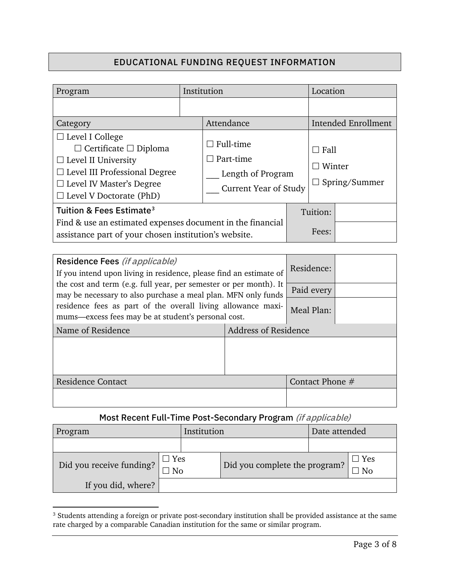# EDUCATIONAL FUNDING REQUEST INFORMATION

| Program                                                                                                                                                                                                                                                                                                                                                           | Institution |  |                                                                                           | Location                               |                                                                     |  |
|-------------------------------------------------------------------------------------------------------------------------------------------------------------------------------------------------------------------------------------------------------------------------------------------------------------------------------------------------------------------|-------------|--|-------------------------------------------------------------------------------------------|----------------------------------------|---------------------------------------------------------------------|--|
|                                                                                                                                                                                                                                                                                                                                                                   |             |  |                                                                                           |                                        |                                                                     |  |
| Category                                                                                                                                                                                                                                                                                                                                                          |             |  | Attendance                                                                                |                                        | <b>Intended Enrollment</b>                                          |  |
| $\Box$ Level I College<br>$\Box$ Certificate $\Box$ Diploma<br>$\Box$ Level II University<br>$\Box$ Level III Professional Degree<br>$\Box$ Level IV Master's Degree<br>$\Box$ Level V Doctorate (PhD)<br>Tuition & Fees Estimate <sup>3</sup><br>Find & use an estimated expenses document in the financial                                                      |             |  | $\Box$ Full-time<br>$\Box$ Part-time<br>Length of Program<br><b>Current Year of Study</b> |                                        | $\Box$ Fall<br>$\Box$ Winter<br>Spring/Summer<br>$\Box$<br>Tuition: |  |
| assistance part of your chosen institution's website.                                                                                                                                                                                                                                                                                                             |             |  |                                                                                           | Fees:                                  |                                                                     |  |
| Residence Fees (if applicable)<br>If you intend upon living in residence, please find an estimate of<br>the cost and term (e.g. full year, per semester or per month). It<br>may be necessary to also purchase a meal plan. MFN only funds<br>residence fees as part of the overall living allowance maxi-<br>mums-excess fees may be at student's personal cost. |             |  |                                                                                           | Residence:<br>Paid every<br>Meal Plan: |                                                                     |  |
| Name of Residence                                                                                                                                                                                                                                                                                                                                                 |             |  | <b>Address of Residence</b>                                                               |                                        |                                                                     |  |
|                                                                                                                                                                                                                                                                                                                                                                   |             |  |                                                                                           |                                        |                                                                     |  |
| <b>Residence Contact</b>                                                                                                                                                                                                                                                                                                                                          |             |  | Contact Phone #                                                                           |                                        |                                                                     |  |
|                                                                                                                                                                                                                                                                                                                                                                   |             |  |                                                                                           |                                        |                                                                     |  |

## Most Recent Full-Time Post-Secondary Program (if applicable)

| Program                  |                  | Institution | Date attended                 |  |
|--------------------------|------------------|-------------|-------------------------------|--|
|                          |                  |             |                               |  |
| Did you receive funding? | $\Box$ Yes<br>Nο |             | Did you complete the program? |  |
| If you did, where?       |                  |             |                               |  |

<span id="page-2-1"></span><span id="page-2-0"></span><sup>3</sup> Students attending a foreign or private post-secondary institution shall be provided assistance at the same rate charged by a comparable Canadian institution for the same or similar program.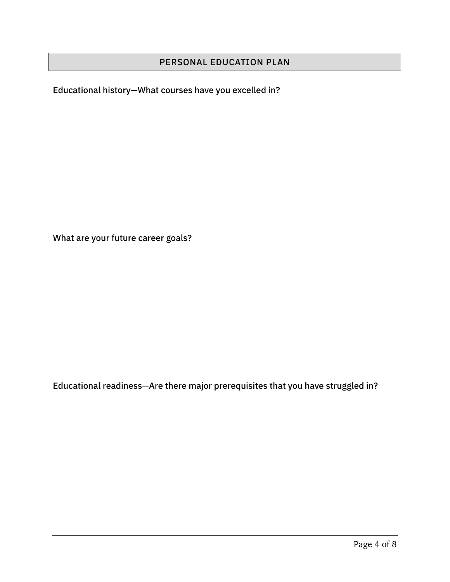## PERSONAL EDUCATION PLAN

Educational history—What courses have you excelled in?

What are your future career goals?

Educational readiness—Are there major prerequisites that you have struggled in?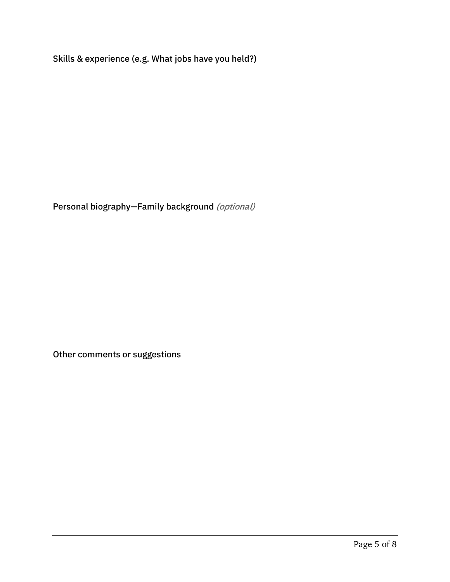Skills & experience (e.g. What jobs have you held?)

Personal biography-Family background (optional)

Other comments or suggestions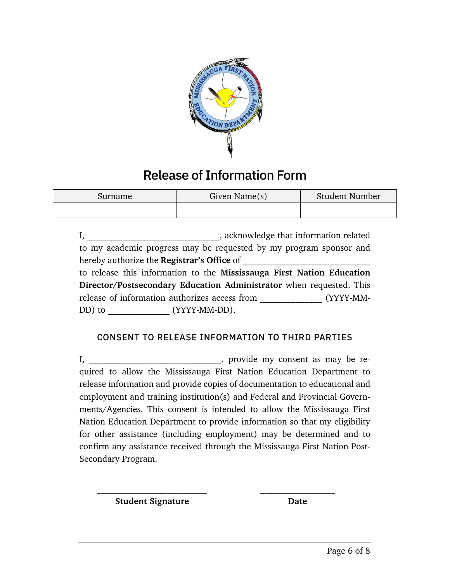

# Release of Information Form

| Surname | Given Name $(s)$ | <b>Student Number</b> |  |  |
|---------|------------------|-----------------------|--|--|
|         |                  |                       |  |  |

I, \_\_\_\_\_\_\_\_\_\_\_\_\_\_\_\_\_\_\_\_\_\_\_\_\_\_\_\_\_\_\_\_\_\_\_, acknowledge that information related to my academic progress may be requested by my program sponsor and hereby authorize the **Registrar's Office** of to release this information to the **Mississauga First Nation Education Director/Postsecondary Education Administrator** when requested. This release of information authorizes access from  $(YYYY\text{-}MM\text{-}$ DD) to  $(YYYY-MM-DD).$ 

#### CONSENT TO RELEASE INFORMATION TO THIRD PARTIES

I, \_\_\_\_\_\_\_\_\_\_\_\_\_\_\_\_\_\_\_\_\_\_\_\_\_\_\_\_\_\_\_, provide my consent as may be required to allow the Mississauga First Nation Education Department to release information and provide copies of documentation to educational and employment and training institution(s) and Federal and Provincial Governments/Agencies. This consent is intended to allow the Mississauga First Nation Education Department to provide information so that my eligibility for other assistance (including employment) may be determined and to confirm any assistance received through the Mississauga First Nation Post-Secondary Program.

**Student Signature Date**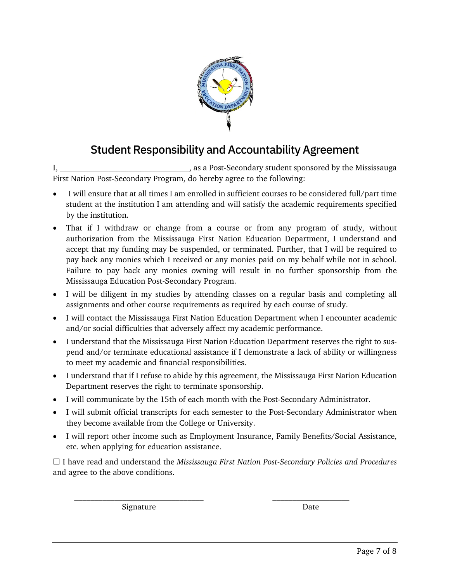

# Student Responsibility and Accountability Agreement

I, as a Post-Secondary student sponsored by the Mississauga First Nation Post-Secondary Program, do hereby agree to the following:

- I will ensure that at all times I am enrolled in sufficient courses to be considered full/part time student at the institution I am attending and will satisfy the academic requirements specified by the institution.
- That if I withdraw or change from a course or from any program of study, without authorization from the Mississauga First Nation Education Department, I understand and accept that my funding may be suspended, or terminated. Further, that I will be required to pay back any monies which I received or any monies paid on my behalf while not in school. Failure to pay back any monies owning will result in no further sponsorship from the Mississauga Education Post-Secondary Program.
- I will be diligent in my studies by attending classes on a regular basis and completing all assignments and other course requirements as required by each course of study.
- I will contact the Mississauga First Nation Education Department when I encounter academic and/or social difficulties that adversely affect my academic performance.
- I understand that the Mississauga First Nation Education Department reserves the right to suspend and/or terminate educational assistance if I demonstrate a lack of ability or willingness to meet my academic and financial responsibilities.
- I understand that if I refuse to abide by this agreement, the Mississauga First Nation Education Department reserves the right to terminate sponsorship.
- I will communicate by the 15th of each month with the Post-Secondary Administrator.
- I will submit official transcripts for each semester to the Post-Secondary Administrator when they become available from the College or University.
- I will report other income such as Employment Insurance, Family Benefits/Social Assistance, etc. when applying for education assistance.

 I have read and understand the *Mississauga First Nation Post-Secondary Policies and Procedures* and agree to the above conditions.

 $\mathcal{L}_\text{max}$  and the contract of the contract of the contract of the contract of the contract of the contract of the contract of the contract of the contract of the contract of the contract of the contract of the contrac

Signature Date